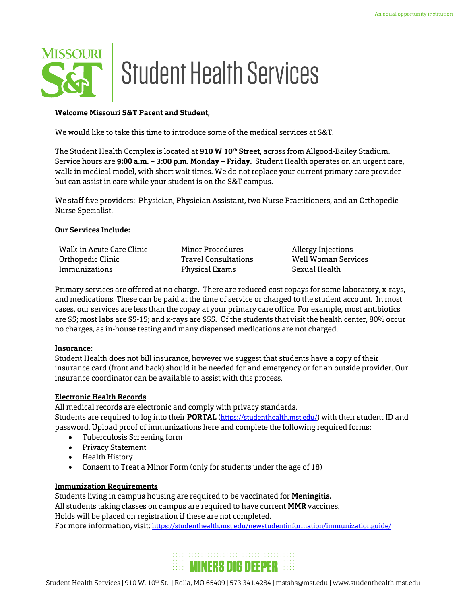

#### **Welcome Missouri S&T Parent and Student,**

We would like to take this time to introduce some of the medical services at S&T.

The Student Health Complex is located at **910 W 10th Street**, across from Allgood-Bailey Stadium. Service hours are 9**:00 a.m. – 3:00 p.m. Monday – Friday.** Student Health operates on an urgent care, walk-in medical model, with short wait times. We do not replace your current primary care provider but can assist in care while your student is on the S&T campus.

We staff five providers: Physician, Physician Assistant, two Nurse Practitioners, and an Orthopedic Nurse Specialist.

#### **Our Services Include:**

| Walk-in Acute Care Clinic | Minor Procedures     | Allergy Injections  |
|---------------------------|----------------------|---------------------|
| Orthopedic Clinic         | Travel Consultations | Well Woman Services |
| Immunizations             | Physical Exams       | Sexual Health       |

Primary services are offered at no charge. There are reduced-cost copays for some laboratory, x-rays, and medications. These can be paid at the time of service or charged to the student account. In most cases, our services are less than the copay at your primary care office. For example, most antibiotics are \$5; most labs are \$5-15; and x-rays are \$55. Of the students that visit the health center, 80% occur no charges, as in-house testing and many dispensed medications are not charged.

# **Insurance:**

Student Health does not bill insurance, however we suggest that students have a copy of their insurance card (front and back) should it be needed for and emergency or for an outside provider. Our insurance coordinator can be available to assist with this process.

# **Electronic Health Records**

All medical records are electronic and comply with privacy standards. Students are required to log into their **PORTAL** (https://studenthealth.mst.edu/) with their student ID and password. Upload proof of immunizations here and complete the following required forms:

- Tuberculosis Screening form
- Privacy Statement
- Health History
- Consent to Treat a Minor Form (only for students under the age of 18)

# **Immunization Requirements**

Students living in campus housing are required to be vaccinated for **Meningitis.** All students taking classes on campus are required to have current **MMR** vaccines. Holds will be placed on registration if these are not completed. For more information, visit: https://studenthealth.mst.edu/newstudentinformation/immunizationguide/